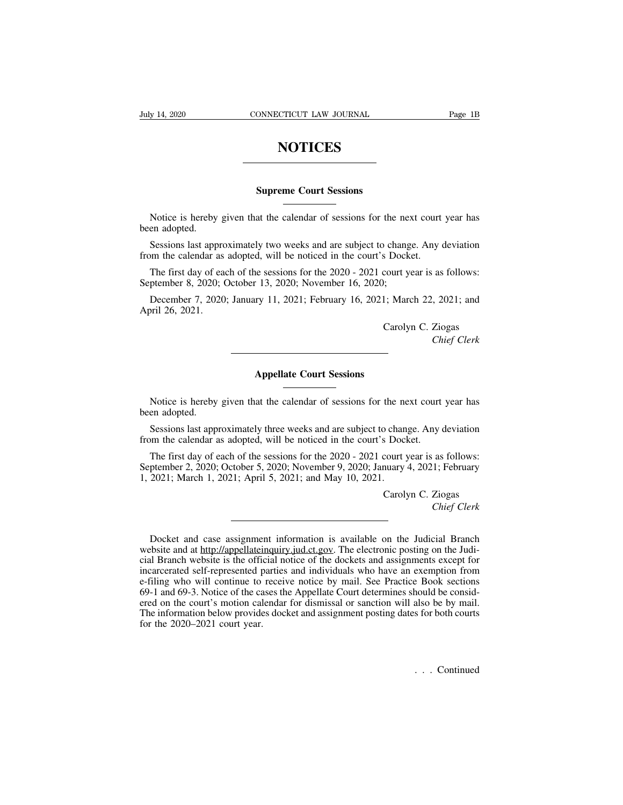## **NOTICES**

## **SUPREME SUPPER SUPPER SUPPER COURT SESSIONS**

NOTICES<br>
Supreme Court Sessions<br>
Notice is hereby given that the calendar of sessions for the next court year has<br>
en adopted.<br>
Sessions lest approximately two weeks and are subject to change. Any deviation Notice is hereby<br>been adopted.<br>Sessions last app<br>from the colordar a

Supreme Court Sessions<br>
Notice is hereby given that the calendar of sessions for the next court year has<br>
en adopted.<br>
Sessions last approximately two weeks and are subject to change. Any deviation<br>
on the calendar as adop **Supreme Court Sessions**<br>Notice is hereby given that the calendar of sessions for the next court<br>been adopted.<br>Sessions last approximately two weeks and are subject to change. Any of<br>from the calendar as adopted, will be n

Notice is hereby given that the calendar of sessions for the next court year has<br>en adopted.<br>Sessions last approximately two weeks and are subject to change. Any deviation<br>om the calendar as adopted, will be noticed in the Notice is hereby given that the calendar of sessions for the nex<br>been adopted.<br>Sessions last approximately two weeks and are subject to chang<br>from the calendar as adopted, will be noticed in the court's Docke<br>The first day en adopted.<br>
Sessions last approximately two weeks and are subject to change. Any deviation<br>
om the calendar as adopted, will be noticed in the court's Docket.<br>
The first day of each of the sessions for the 2020 - 2021 cou Sessions last approx<br>from the calendar as<br>The first day of ea<br>September 8, 2020; C<br>December 7, 2020<br>April 26, 2021. S Docket.<br>
court year is as follows:<br>
;<br>
1; March 22, 2021; and<br>
Carolyn C. Ziogas<br> *Chief Clerk* 

**Appellate Court Sessions**<br> **Appellate Court Sessions** 

as follows:<br> *Chief Clerk*<br> *Chief Clerk* 

Earty C. Elogas<br>Chief Clerk<br>Court Sessions<br>Notice is hereby given that the calendar of sessions for the next court year has<br>en adopted. Notice is hereby<br>been adopted.<br>Sessions last approximate the color of the color of the color of the color of the color of the color of the color of the color of the color of the color of the color of the color of the color Appellate Court Sessions<br>Notice is hereby given that the calendar of sessions for the next court year has<br>en adopted.<br>Sessions last approximately three weeks and are subject to change. Any deviation<br>om the calendar as adop **From the calendar of sessions**<br>Notice is hereby given that the calendar of sessions for the next court<br>been adopted.<br>Sessions last approximately three weeks and are subject to change. Any of<br>from the calendar as adopted,

Notice is hereby given that the calendar of sessions for the next court year has<br>en adopted.<br>Sessions last approximately three weeks and are subject to change. Any deviation<br>om the calendar as adopted, will be noticed in t Notice is hereby given that the calendar of sessions for the next court year has<br>been adopted.<br>Sessions last approximately three weeks and are subject to change. Any deviation<br>from the calendar as adopted, will be noticed 1, 2021; March 1, 2021; April 5, 2021; and May 10, 2021.<br>Carolynum 1, 2021; March 1, 2021; April 5, 2021; and May 10, 2021.<br>Carolynum 1, 2021; March 1, 2021; April 5, 2021; and May 10, 2021.<br>Carolynum 1, 2021; March 1, 202 So change. Any deviation<br>
So Docket.<br>
Court year is as follows:<br>
nuary 4, 2021; February<br>
Carolyn C. Ziogas<br>
Chief Clerk *Chief Clerk*<br> *Chief Clerk*<br> *Chief Clerk* 

ptember 2, 2020; October 5, 2020; November 9, 2020; January 4, 2021; February<br>2021; March 1, 2021; April 5, 2021; and May 10, 2021.<br>Carolyn C. Ziogas<br>*Chief Clerk*<br>Docket and case assignment information is available on the The 1, 2021; March 1, 2021; April 5, 2021; and May 10, 2021.<br>Carolyn C. Ziogas<br>Chief Clerk<br>Docket and case assignment information is available on the Judicial Branch<br>website and at http://appellateinquiry.jud.ct.gov. The e Carolyn C. Ziogas<br>Chief Clerk<br>Chief Clerk<br>Chief Clerk<br>Chief Clerk<br>website and at http://appellateinquiry.jud.ct.gov. The electronic posting on the Judi-<br>cial Branch website is the official notice of the dockets and assignm Chief Clerk<br>Chief Clerk<br>Chief Clerk<br>website and at http://appellateinquiry.jud.ct.gov. The electronic posting on the Judi-<br>cial Branch website is the official notice of the dockets and assignments except for<br>incarcerated s ET US CONSECT THE USER CONSECT THE USER CONSERVANCE And case assignment information is available on the Judicial Branch website and at http://appellateinquiry.jud.ct.gov. The electronic posting on the Judicial Branch websi Docket and case assignment information is available on the Judicial Branch<br>website and at http://appellateinquiry.jud.ct.gov. The electronic posting on the Judi-<br>cial Branch website is the official notice of the dockets an Docket and case assignment information is available on the Judicial Branch<br>website and at <u>http://appellateinquiry.jud.ct.gov</u>. The electronic posting on the Judi-<br>cial Branch website is the official notice of the dockets bocket and case assignment information is avariable on the studieral Branch<br>website and at <u>http://appellateinquiry.jud.ct.gov</u>. The electronic posting on the Judi-<br>cial Branch website is the official notice of the dockets website and at <u>imparappenate inquire</u><br>cial Branch website is the official ne<br>incarcerated self-represented parties<br>e-filing who will continue to recei<br>69-1 and 69-3. Notice of the cases the<br>red on the court's motion calen .<br>also be by mail.<br>of for both courts<br> $\therefore$  . Continued